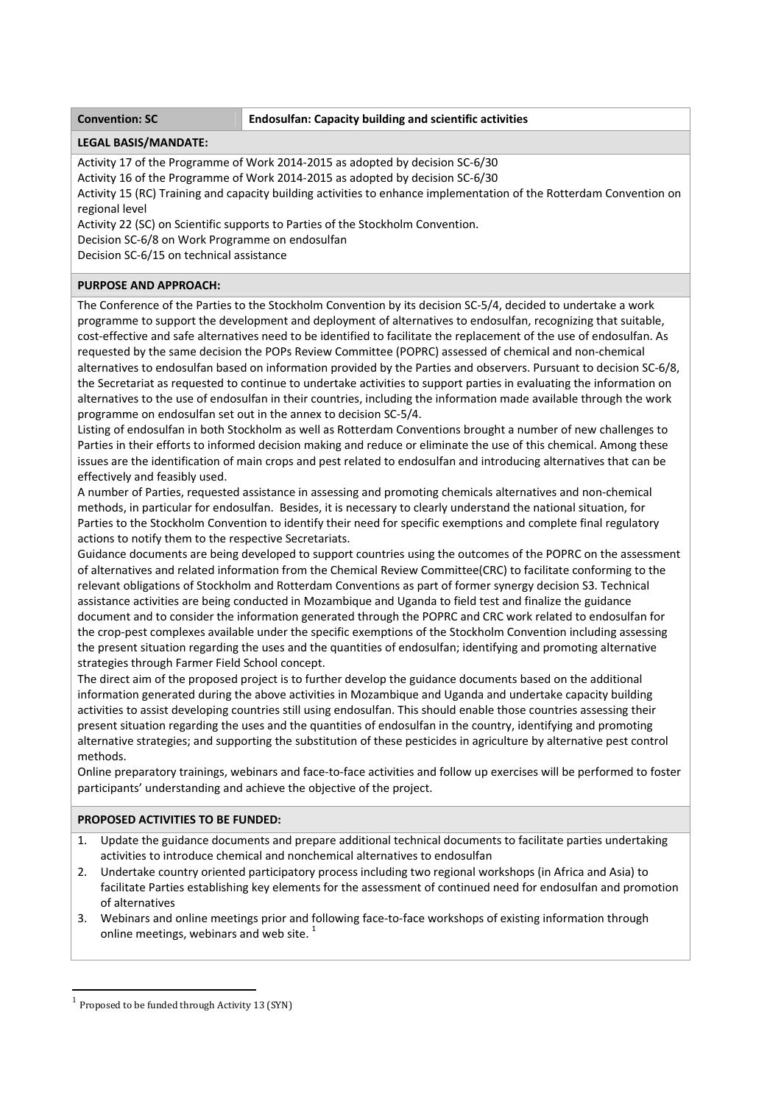## **Convention: SC Endosulfan: Capacity building and scientific activities**

## **LEGAL BASIS/MANDATE:**

Activity 17 of the Programme of Work 2014‐2015 as adopted by decision SC‐6/30

Activity 16 of the Programme of Work 2014‐2015 as adopted by decision SC‐6/30

Activity 15 (RC) Training and capacity building activities to enhance implementation of the Rotterdam Convention on regional level

Activity 22 (SC) on Scientific supports to Parties of the Stockholm Convention.

Decision SC‐6/8 on Work Programme on endosulfan

Decision SC‐6/15 on technical assistance

# **PURPOSE AND APPROACH:**

The Conference of the Parties to the Stockholm Convention by its decision SC‐5/4, decided to undertake a work programme to support the development and deployment of alternatives to endosulfan, recognizing that suitable, cost-effective and safe alternatives need to be identified to facilitate the replacement of the use of endosulfan. As requested by the same decision the POPs Review Committee (POPRC) assessed of chemical and non‐chemical alternatives to endosulfan based on information provided by the Parties and observers. Pursuant to decision SC‐6/8, the Secretariat as requested to continue to undertake activities to support parties in evaluating the information on alternatives to the use of endosulfan in their countries, including the information made available through the work programme on endosulfan set out in the annex to decision SC‐5/4.

Listing of endosulfan in both Stockholm as well as Rotterdam Conventions brought a number of new challenges to Parties in their efforts to informed decision making and reduce or eliminate the use of this chemical. Among these issues are the identification of main crops and pest related to endosulfan and introducing alternatives that can be effectively and feasibly used.

A number of Parties, requested assistance in assessing and promoting chemicals alternatives and non‐chemical methods, in particular for endosulfan. Besides, it is necessary to clearly understand the national situation, for Parties to the Stockholm Convention to identify their need for specific exemptions and complete final regulatory actions to notify them to the respective Secretariats.

Guidance documents are being developed to support countries using the outcomes of the POPRC on the assessment of alternatives and related information from the Chemical Review Committee(CRC) to facilitate conforming to the relevant obligations of Stockholm and Rotterdam Conventions as part of former synergy decision S3. Technical assistance activities are being conducted in Mozambique and Uganda to field test and finalize the guidance document and to consider the information generated through the POPRC and CRC work related to endosulfan for the crop-pest complexes available under the specific exemptions of the Stockholm Convention including assessing the present situation regarding the uses and the quantities of endosulfan; identifying and promoting alternative strategies through Farmer Field School concept.

The direct aim of the proposed project is to further develop the guidance documents based on the additional information generated during the above activities in Mozambique and Uganda and undertake capacity building activities to assist developing countries still using endosulfan. This should enable those countries assessing their present situation regarding the uses and the quantities of endosulfan in the country, identifying and promoting alternative strategies; and supporting the substitution of these pesticides in agriculture by alternative pest control methods.

Online preparatory trainings, webinars and face‐to‐face activities and follow up exercises will be performed to foster participants' understanding and achieve the objective of the project.

## **PROPOSED ACTIVITIES TO BE FUNDED:**

- 1. Update the guidance documents and prepare additional technical documents to facilitate parties undertaking activities to introduce chemical and nonchemical alternatives to endosulfan
- 2. Undertake country oriented participatory process including two regional workshops (in Africa and Asia) to facilitate Parties establishing key elements for the assessment of continued need for endosulfan and promotion of alternatives
- 3. Webinars and online meetings prior and following face‐to‐face workshops of existing information through online meetings, webinars and web site.  $1$

<u> Andrew Maria (1989)</u>

 $1$  Proposed to be funded through Activity 13 (SYN)